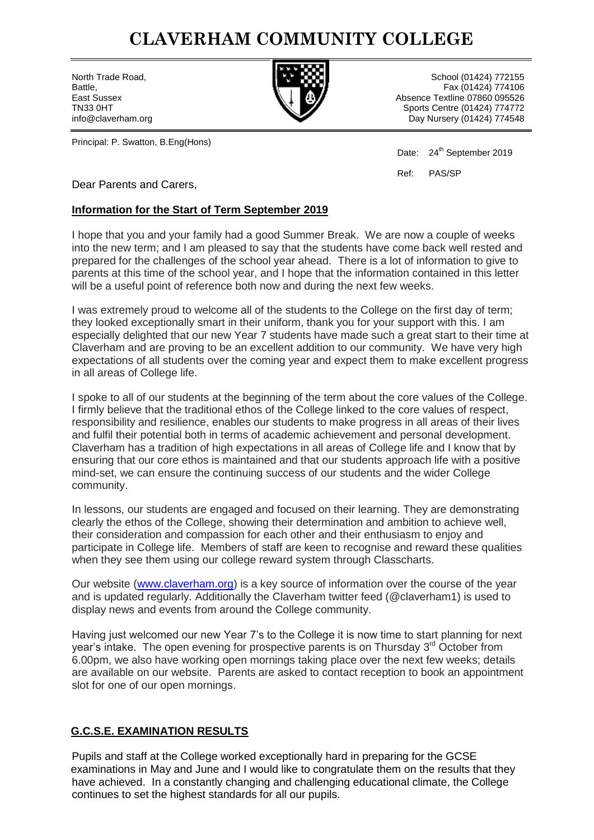### **CLAVERHAM COMMUNITY COLLEGE**



North Trade Road, School (01424) 772155 Battle, Fax (01424) 774106 East Sussex **Absence Textline 07860 095526** TN33 0HT Sports Centre (01424) 774772 info@claverham.org Day Nursery (01424) 774548

Principal: P. Swatton, B.Eng(Hons)

Date: 24<sup>th</sup> September 2019

Ref: PAS/SP

Dear Parents and Carers,

#### **Information for the Start of Term September 2019**

I hope that you and your family had a good Summer Break. We are now a couple of weeks into the new term; and I am pleased to say that the students have come back well rested and prepared for the challenges of the school year ahead. There is a lot of information to give to parents at this time of the school year, and I hope that the information contained in this letter will be a useful point of reference both now and during the next few weeks.

I was extremely proud to welcome all of the students to the College on the first day of term; they looked exceptionally smart in their uniform, thank you for your support with this. I am especially delighted that our new Year 7 students have made such a great start to their time at Claverham and are proving to be an excellent addition to our community. We have very high expectations of all students over the coming year and expect them to make excellent progress in all areas of College life.

I spoke to all of our students at the beginning of the term about the core values of the College. I firmly believe that the traditional ethos of the College linked to the core values of respect, responsibility and resilience, enables our students to make progress in all areas of their lives and fulfil their potential both in terms of academic achievement and personal development. Claverham has a tradition of high expectations in all areas of College life and I know that by ensuring that our core ethos is maintained and that our students approach life with a positive mind-set, we can ensure the continuing success of our students and the wider College community.

In lessons, our students are engaged and focused on their learning. They are demonstrating clearly the ethos of the College, showing their determination and ambition to achieve well, their consideration and compassion for each other and their enthusiasm to enjoy and participate in College life. Members of staff are keen to recognise and reward these qualities when they see them using our college reward system through Classcharts.

Our website [\(www.claverham.org\)](http://www.claverham.org/) is a key source of information over the course of the year and is updated regularly. Additionally the Claverham twitter feed (@claverham1) is used to display news and events from around the College community.

Having just welcomed our new Year 7"s to the College it is now time to start planning for next year's intake. The open evening for prospective parents is on Thursday 3<sup>rd</sup> October from 6.00pm, we also have working open mornings taking place over the next few weeks; details are available on our website. Parents are asked to contact reception to book an appointment slot for one of our open mornings.

#### **G.C.S.E. EXAMINATION RESULTS**

Pupils and staff at the College worked exceptionally hard in preparing for the GCSE examinations in May and June and I would like to congratulate them on the results that they have achieved. In a constantly changing and challenging educational climate, the College continues to set the highest standards for all our pupils.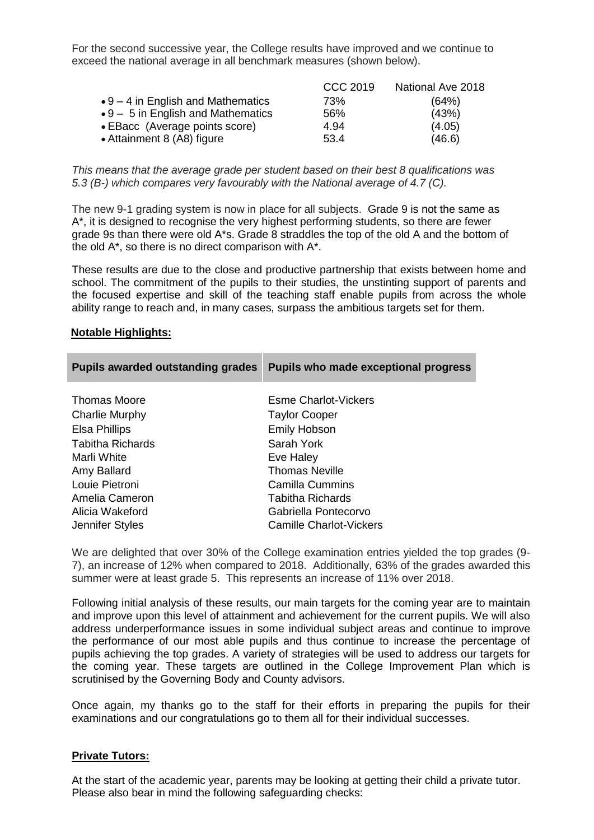For the second successive year, the College results have improved and we continue to exceed the national average in all benchmark measures (shown below).

|                                            | CCC 2019 | National Ave 2018 |
|--------------------------------------------|----------|-------------------|
| $\bullet$ 9 – 4 in English and Mathematics | 73%      | (64%)             |
| $\bullet$ 9 – 5 in English and Mathematics | 56%      | (43%)             |
| • EBacc (Average points score)             | 4.94     | (4.05)            |
| • Attainment 8 (A8) figure                 | 53.4     | (46.6)            |

*This means that the average grade per student based on their best 8 qualifications was 5.3 (B-) which compares very favourably with the National average of 4.7 (C).*

The new 9-1 grading system is now in place for all subjects. Grade 9 is not the same as A\*, it is designed to recognise the very highest performing students, so there are fewer grade 9s than there were old A\*s. Grade 8 straddles the top of the old A and the bottom of the old A\*, so there is no direct comparison with A\*.

These results are due to the close and productive partnership that exists between home and school. The commitment of the pupils to their studies, the unstinting support of parents and the focused expertise and skill of the teaching staff enable pupils from across the whole ability range to reach and, in many cases, surpass the ambitious targets set for them.

#### **Notable Highlights:**

| <b>Pupils awarded outstanding grades</b> | Pupils who made exceptional progress |
|------------------------------------------|--------------------------------------|
| <b>Thomas Moore</b>                      | <b>Esme Charlot-Vickers</b>          |
| <b>Charlie Murphy</b>                    | <b>Taylor Cooper</b>                 |
| Elsa Phillips                            | <b>Emily Hobson</b>                  |
| Tabitha Richards                         | Sarah York                           |
| Marli White                              | Eve Haley                            |
| Amy Ballard                              | <b>Thomas Neville</b>                |
| Louie Pietroni                           | <b>Camilla Cummins</b>               |
| Amelia Cameron                           | Tabitha Richards                     |
| Alicia Wakeford                          | Gabriella Pontecorvo                 |
| Jennifer Styles                          | Camille Charlot-Vickers              |

We are delighted that over 30% of the College examination entries yielded the top grades (9- 7), an increase of 12% when compared to 2018. Additionally, 63% of the grades awarded this summer were at least grade 5. This represents an increase of 11% over 2018.

Following initial analysis of these results, our main targets for the coming year are to maintain and improve upon this level of attainment and achievement for the current pupils. We will also address underperformance issues in some individual subject areas and continue to improve the performance of our most able pupils and thus continue to increase the percentage of pupils achieving the top grades. A variety of strategies will be used to address our targets for the coming year. These targets are outlined in the College Improvement Plan which is scrutinised by the Governing Body and County advisors.

Once again, my thanks go to the staff for their efforts in preparing the pupils for their examinations and our congratulations go to them all for their individual successes.

#### **Private Tutors:**

At the start of the academic year, parents may be looking at getting their child a private tutor. Please also bear in mind the following safeguarding checks: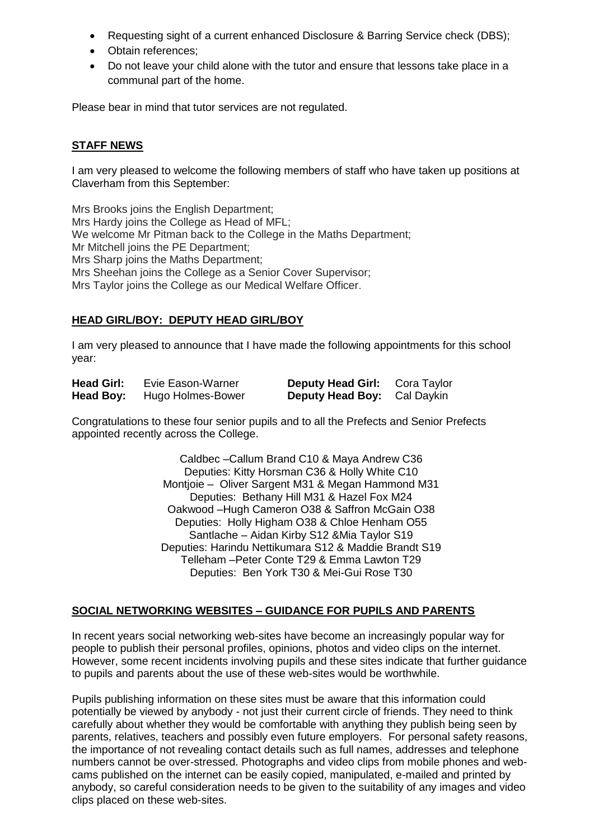- Requesting sight of a current enhanced Disclosure & Barring Service check (DBS);
- Obtain references:
- Do not leave your child alone with the tutor and ensure that lessons take place in a communal part of the home.

Please bear in mind that tutor services are not regulated.

#### **STAFF NEWS**

I am very pleased to welcome the following members of staff who have taken up positions at Claverham from this September:

Mrs Brooks joins the English Department; Mrs Hardy joins the College as Head of MFL; We welcome Mr Pitman back to the College in the Maths Department; Mr Mitchell joins the PE Department; Mrs Sharp joins the Maths Department: Mrs Sheehan joins the College as a Senior Cover Supervisor; Mrs Taylor joins the College as our Medical Welfare Officer.

#### **HEAD GIRL/BOY: DEPUTY HEAD GIRL/BOY**

I am very pleased to announce that I have made the following appointments for this school year:

| <b>Head Girl:</b> | Evie Eason-Warner | <b>Deputy Head Girl:</b> Cora Taylor |  |
|-------------------|-------------------|--------------------------------------|--|
| Head Boy:         | Hugo Holmes-Bower | <b>Deputy Head Boy:</b> Cal Daykin   |  |

Congratulations to these four senior pupils and to all the Prefects and Senior Prefects appointed recently across the College.

> Caldbec –Callum Brand C10 & Maya Andrew C36 Deputies: Kitty Horsman C36 & Holly White C10 Montjoie – Oliver Sargent M31 & Megan Hammond M31 Deputies: Bethany Hill M31 & Hazel Fox M24 Oakwood –Hugh Cameron O38 & Saffron McGain O38 Deputies: Holly Higham O38 & Chloe Henham O55 Santlache – Aidan Kirby S12 &Mia Taylor S19 Deputies: Harindu Nettikumara S12 & Maddie Brandt S19 Telleham –Peter Conte T29 & Emma Lawton T29 Deputies: Ben York T30 & Mei-Gui Rose T30

#### **SOCIAL NETWORKING WEBSITES – GUIDANCE FOR PUPILS AND PARENTS**

In recent years social networking web-sites have become an increasingly popular way for people to publish their personal profiles, opinions, photos and video clips on the internet. However, some recent incidents involving pupils and these sites indicate that further guidance to pupils and parents about the use of these web-sites would be worthwhile.

Pupils publishing information on these sites must be aware that this information could potentially be viewed by anybody - not just their current circle of friends. They need to think carefully about whether they would be comfortable with anything they publish being seen by parents, relatives, teachers and possibly even future employers. For personal safety reasons, the importance of not revealing contact details such as full names, addresses and telephone numbers cannot be over-stressed. Photographs and video clips from mobile phones and webcams published on the internet can be easily copied, manipulated, e-mailed and printed by anybody, so careful consideration needs to be given to the suitability of any images and video clips placed on these web-sites.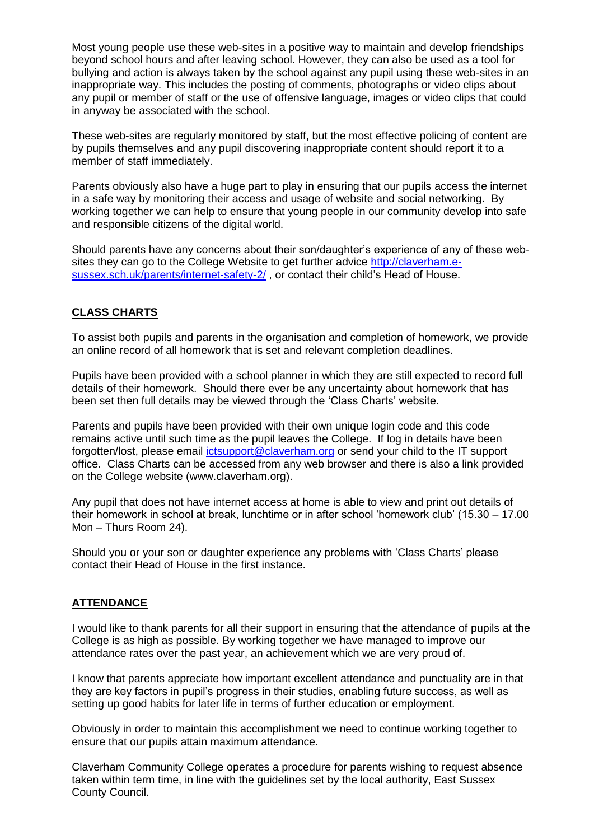Most young people use these web-sites in a positive way to maintain and develop friendships beyond school hours and after leaving school. However, they can also be used as a tool for bullying and action is always taken by the school against any pupil using these web-sites in an inappropriate way. This includes the posting of comments, photographs or video clips about any pupil or member of staff or the use of offensive language, images or video clips that could in anyway be associated with the school.

These web-sites are regularly monitored by staff, but the most effective policing of content are by pupils themselves and any pupil discovering inappropriate content should report it to a member of staff immediately.

Parents obviously also have a huge part to play in ensuring that our pupils access the internet in a safe way by monitoring their access and usage of website and social networking. By working together we can help to ensure that young people in our community develop into safe and responsible citizens of the digital world.

Should parents have any concerns about their son/daughter"s experience of any of these websites they can go to the College Website to get further advice [http://claverham.e](http://claverham.e-sussex.sch.uk/parents/internet-safety-2/)[sussex.sch.uk/parents/internet-safety-2/](http://claverham.e-sussex.sch.uk/parents/internet-safety-2/) , or contact their child"s Head of House.

#### **CLASS CHARTS**

To assist both pupils and parents in the organisation and completion of homework, we provide an online record of all homework that is set and relevant completion deadlines.

Pupils have been provided with a school planner in which they are still expected to record full details of their homework. Should there ever be any uncertainty about homework that has been set then full details may be viewed through the 'Class Charts' website.

Parents and pupils have been provided with their own unique login code and this code remains active until such time as the pupil leaves the College. If log in details have been forgotten/lost, please email [ictsupport@claverham.org](mailto:ictsupport@claverham.org) or send your child to the IT support office. Class Charts can be accessed from any web browser and there is also a link provided on the College website (www.claverham.org).

Any pupil that does not have internet access at home is able to view and print out details of their homework in school at break, lunchtime or in after school "homework club" (15.30 – 17.00 Mon – Thurs Room 24).

Should you or your son or daughter experience any problems with "Class Charts" please contact their Head of House in the first instance.

#### **ATTENDANCE**

I would like to thank parents for all their support in ensuring that the attendance of pupils at the College is as high as possible. By working together we have managed to improve our attendance rates over the past year, an achievement which we are very proud of.

I know that parents appreciate how important excellent attendance and punctuality are in that they are key factors in pupil"s progress in their studies, enabling future success, as well as setting up good habits for later life in terms of further education or employment.

Obviously in order to maintain this accomplishment we need to continue working together to ensure that our pupils attain maximum attendance.

Claverham Community College operates a procedure for parents wishing to request absence taken within term time, in line with the guidelines set by the local authority, East Sussex County Council.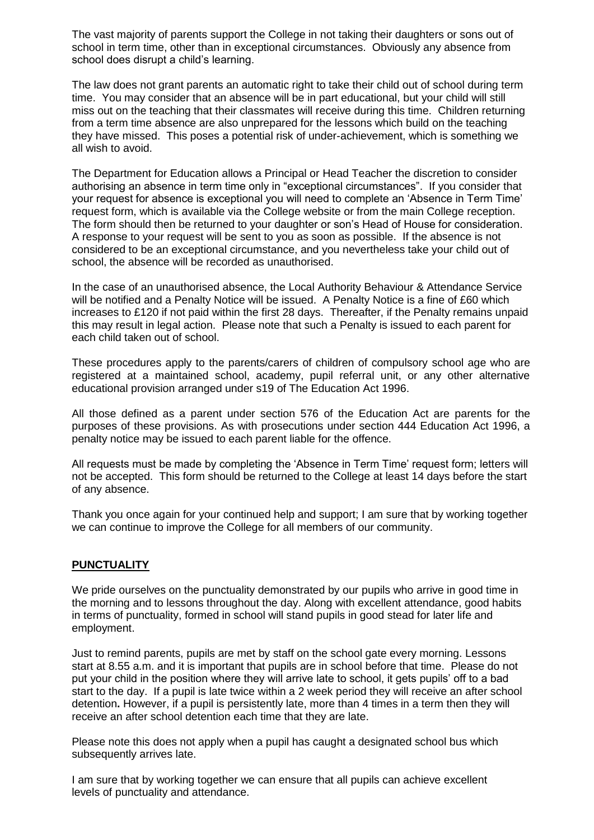The vast majority of parents support the College in not taking their daughters or sons out of school in term time, other than in exceptional circumstances. Obviously any absence from school does disrupt a child"s learning.

The law does not grant parents an automatic right to take their child out of school during term time. You may consider that an absence will be in part educational, but your child will still miss out on the teaching that their classmates will receive during this time. Children returning from a term time absence are also unprepared for the lessons which build on the teaching they have missed. This poses a potential risk of under-achievement, which is something we all wish to avoid.

The Department for Education allows a Principal or Head Teacher the discretion to consider authorising an absence in term time only in "exceptional circumstances". If you consider that your request for absence is exceptional you will need to complete an "Absence in Term Time" request form, which is available via the College website or from the main College reception. The form should then be returned to your daughter or son"s Head of House for consideration. A response to your request will be sent to you as soon as possible. If the absence is not considered to be an exceptional circumstance, and you nevertheless take your child out of school, the absence will be recorded as unauthorised.

In the case of an unauthorised absence, the Local Authority Behaviour & Attendance Service will be notified and a Penalty Notice will be issued. A Penalty Notice is a fine of £60 which increases to £120 if not paid within the first 28 days. Thereafter, if the Penalty remains unpaid this may result in legal action. Please note that such a Penalty is issued to each parent for each child taken out of school.

These procedures apply to the parents/carers of children of compulsory school age who are registered at a maintained school, academy, pupil referral unit, or any other alternative educational provision arranged under s19 of The Education Act 1996.

All those defined as a parent under section 576 of the Education Act are parents for the purposes of these provisions. As with prosecutions under section 444 Education Act 1996, a penalty notice may be issued to each parent liable for the offence.

All requests must be made by completing the 'Absence in Term Time' request form; letters will not be accepted. This form should be returned to the College at least 14 days before the start of any absence.

Thank you once again for your continued help and support; I am sure that by working together we can continue to improve the College for all members of our community.

#### **PUNCTUALITY**

We pride ourselves on the punctuality demonstrated by our pupils who arrive in good time in the morning and to lessons throughout the day. Along with excellent attendance, good habits in terms of punctuality, formed in school will stand pupils in good stead for later life and employment.

Just to remind parents, pupils are met by staff on the school gate every morning. Lessons start at 8.55 a.m. and it is important that pupils are in school before that time. Please do not put your child in the position where they will arrive late to school, it gets pupils" off to a bad start to the day. If a pupil is late twice within a 2 week period they will receive an after school detention**.** However, if a pupil is persistently late, more than 4 times in a term then they will receive an after school detention each time that they are late.

Please note this does not apply when a pupil has caught a designated school bus which subsequently arrives late.

I am sure that by working together we can ensure that all pupils can achieve excellent levels of punctuality and attendance.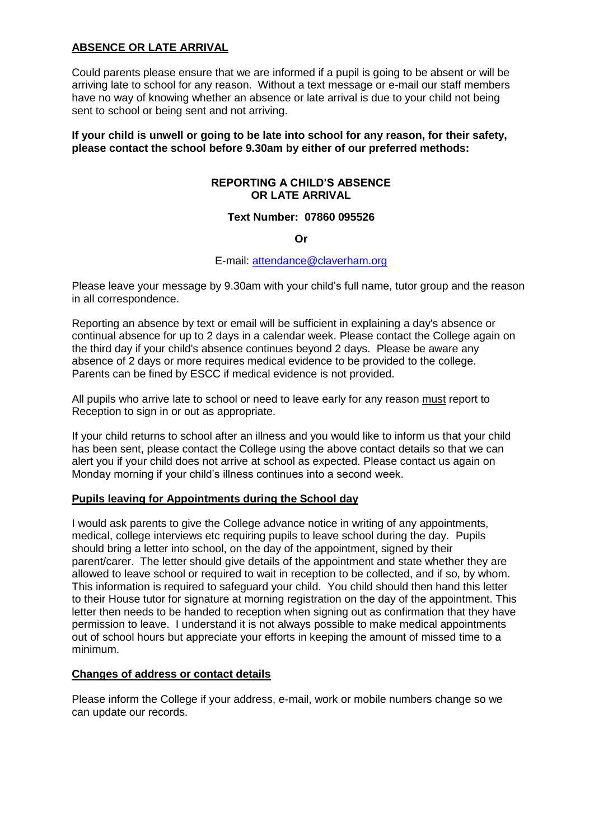#### **ABSENCE OR LATE ARRIVAL**

Could parents please ensure that we are informed if a pupil is going to be absent or will be arriving late to school for any reason. Without a text message or e-mail our staff members have no way of knowing whether an absence or late arrival is due to your child not being sent to school or being sent and not arriving.

**If your child is unwell or going to be late into school for any reason, for their safety, please contact the school before 9.30am by either of our preferred methods:**

#### **REPORTING A CHILD'S ABSENCE OR LATE ARRIVAL**

#### **Text Number: 07860 095526**

#### **Or**

#### E-mail: attendance@claverham.org

Please leave your message by 9.30am with your child"s full name, tutor group and the reason in all correspondence.

Reporting an absence by text or email will be sufficient in explaining a day's absence or continual absence for up to 2 days in a calendar week. Please contact the College again on the third day if your child's absence continues beyond 2 days. Please be aware any absence of 2 days or more requires medical evidence to be provided to the college. Parents can be fined by ESCC if medical evidence is not provided.

All pupils who arrive late to school or need to leave early for any reason must report to Reception to sign in or out as appropriate.

If your child returns to school after an illness and you would like to inform us that your child has been sent, please contact the College using the above contact details so that we can alert you if your child does not arrive at school as expected. Please contact us again on Monday morning if your child"s illness continues into a second week.

#### **Pupils leaving for Appointments during the School day**

I would ask parents to give the College advance notice in writing of any appointments, medical, college interviews etc requiring pupils to leave school during the day. Pupils should bring a letter into school, on the day of the appointment, signed by their parent/carer. The letter should give details of the appointment and state whether they are allowed to leave school or required to wait in reception to be collected, and if so, by whom. This information is required to safeguard your child. You child should then hand this letter to their House tutor for signature at morning registration on the day of the appointment. This letter then needs to be handed to reception when signing out as confirmation that they have permission to leave. I understand it is not always possible to make medical appointments out of school hours but appreciate your efforts in keeping the amount of missed time to a minimum.

#### **Changes of address or contact details**

Please inform the College if your address, e-mail, work or mobile numbers change so we can update our records.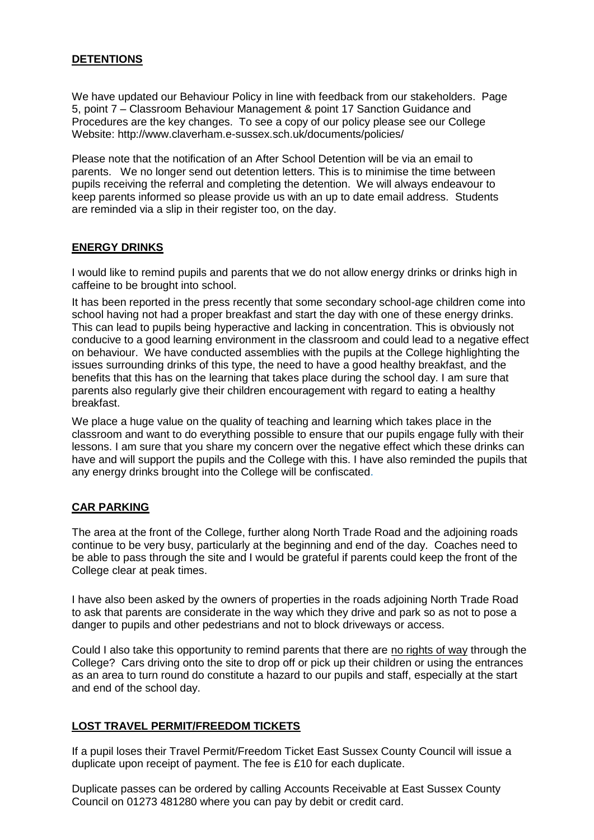#### **DETENTIONS**

We have updated our Behaviour Policy in line with feedback from our stakeholders. Page 5, point 7 – Classroom Behaviour Management & point 17 Sanction Guidance and Procedures are the key changes. To see a copy of our policy please see our College Website: http://www.claverham.e-sussex.sch.uk/documents/policies/

Please note that the notification of an After School Detention will be via an email to parents. We no longer send out detention letters. This is to minimise the time between pupils receiving the referral and completing the detention. We will always endeavour to keep parents informed so please provide us with an up to date email address. Students are reminded via a slip in their register too, on the day.

#### **ENERGY DRINKS**

I would like to remind pupils and parents that we do not allow energy drinks or drinks high in caffeine to be brought into school.

It has been reported in the press recently that some secondary school-age children come into school having not had a proper breakfast and start the day with one of these energy drinks. This can lead to pupils being hyperactive and lacking in concentration. This is obviously not conducive to a good learning environment in the classroom and could lead to a negative effect on behaviour. We have conducted assemblies with the pupils at the College highlighting the issues surrounding drinks of this type, the need to have a good healthy breakfast, and the benefits that this has on the learning that takes place during the school day. I am sure that parents also regularly give their children encouragement with regard to eating a healthy breakfast.

We place a huge value on the quality of teaching and learning which takes place in the classroom and want to do everything possible to ensure that our pupils engage fully with their lessons. I am sure that you share my concern over the negative effect which these drinks can have and will support the pupils and the College with this. I have also reminded the pupils that any energy drinks brought into the College will be confiscated.

#### **CAR PARKING**

The area at the front of the College, further along North Trade Road and the adjoining roads continue to be very busy, particularly at the beginning and end of the day. Coaches need to be able to pass through the site and I would be grateful if parents could keep the front of the College clear at peak times.

I have also been asked by the owners of properties in the roads adjoining North Trade Road to ask that parents are considerate in the way which they drive and park so as not to pose a danger to pupils and other pedestrians and not to block driveways or access.

Could I also take this opportunity to remind parents that there are no rights of way through the College? Cars driving onto the site to drop off or pick up their children or using the entrances as an area to turn round do constitute a hazard to our pupils and staff, especially at the start and end of the school day.

#### **LOST TRAVEL PERMIT/FREEDOM TICKETS**

If a pupil loses their Travel Permit/Freedom Ticket East Sussex County Council will issue a duplicate upon receipt of payment. The fee is £10 for each duplicate.

Duplicate passes can be ordered by calling Accounts Receivable at East Sussex County Council on 01273 481280 where you can pay by debit or credit card.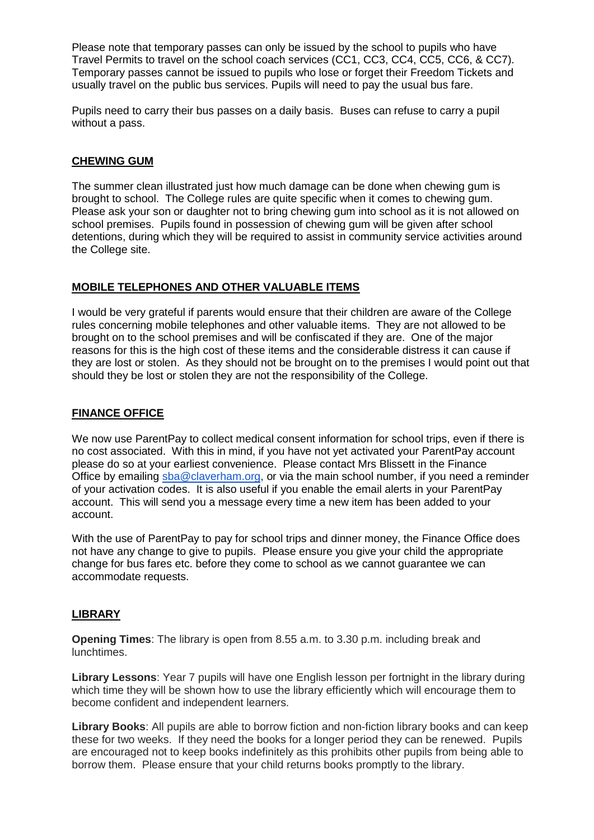Please note that temporary passes can only be issued by the school to pupils who have Travel Permits to travel on the school coach services (CC1, CC3, CC4, CC5, CC6, & CC7). Temporary passes cannot be issued to pupils who lose or forget their Freedom Tickets and usually travel on the public bus services. Pupils will need to pay the usual bus fare.

Pupils need to carry their bus passes on a daily basis. Buses can refuse to carry a pupil without a pass.

#### **CHEWING GUM**

The summer clean illustrated just how much damage can be done when chewing gum is brought to school. The College rules are quite specific when it comes to chewing gum. Please ask your son or daughter not to bring chewing gum into school as it is not allowed on school premises. Pupils found in possession of chewing gum will be given after school detentions, during which they will be required to assist in community service activities around the College site.

#### **MOBILE TELEPHONES AND OTHER VALUABLE ITEMS**

I would be very grateful if parents would ensure that their children are aware of the College rules concerning mobile telephones and other valuable items. They are not allowed to be brought on to the school premises and will be confiscated if they are. One of the major reasons for this is the high cost of these items and the considerable distress it can cause if they are lost or stolen. As they should not be brought on to the premises I would point out that should they be lost or stolen they are not the responsibility of the College.

#### **FINANCE OFFICE**

We now use ParentPay to collect medical consent information for school trips, even if there is no cost associated. With this in mind, if you have not yet activated your ParentPay account please do so at your earliest convenience. Please contact Mrs Blissett in the Finance Office by emailing [sba@claverham.org,](mailto:sba@claverham.org) or via the main school number, if you need a reminder of your activation codes. It is also useful if you enable the email alerts in your ParentPay account. This will send you a message every time a new item has been added to your account.

With the use of ParentPay to pay for school trips and dinner money, the Finance Office does not have any change to give to pupils. Please ensure you give your child the appropriate change for bus fares etc. before they come to school as we cannot guarantee we can accommodate requests.

#### **LIBRARY**

**Opening Times**: The library is open from 8.55 a.m. to 3.30 p.m. including break and lunchtimes.

**Library Lessons**: Year 7 pupils will have one English lesson per fortnight in the library during which time they will be shown how to use the library efficiently which will encourage them to become confident and independent learners.

**Library Books**: All pupils are able to borrow fiction and non-fiction library books and can keep these for two weeks. If they need the books for a longer period they can be renewed. Pupils are encouraged not to keep books indefinitely as this prohibits other pupils from being able to borrow them. Please ensure that your child returns books promptly to the library.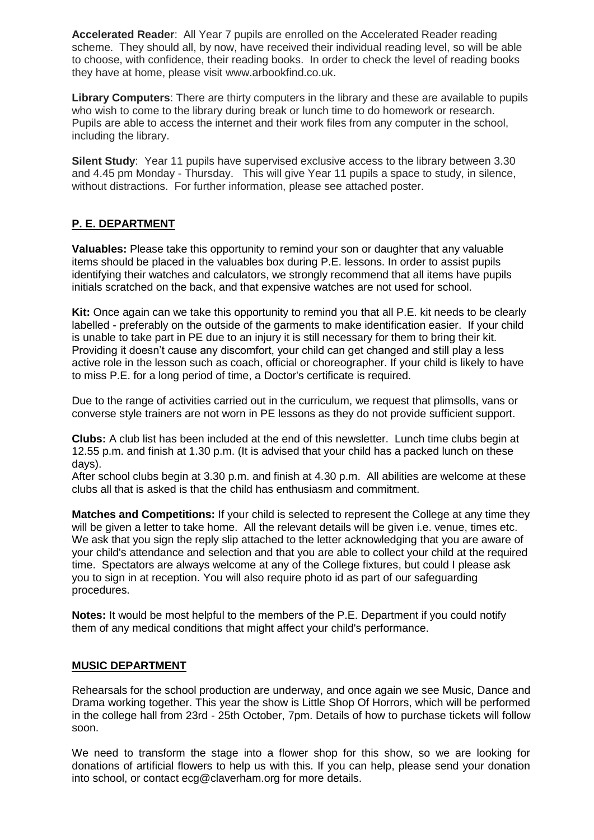**Accelerated Reader**: All Year 7 pupils are enrolled on the Accelerated Reader reading scheme. They should all, by now, have received their individual reading level, so will be able to choose, with confidence, their reading books. In order to check the level of reading books they have at home, please visit www.arbookfind.co.uk.

**Library Computers**: There are thirty computers in the library and these are available to pupils who wish to come to the library during break or lunch time to do homework or research. Pupils are able to access the internet and their work files from any computer in the school, including the library.

**Silent Study**: Year 11 pupils have supervised exclusive access to the library between 3.30 and 4.45 pm Monday - Thursday. This will give Year 11 pupils a space to study, in silence, without distractions. For further information, please see attached poster.

#### **P. E. DEPARTMENT**

**Valuables:** Please take this opportunity to remind your son or daughter that any valuable items should be placed in the valuables box during P.E. lessons. In order to assist pupils identifying their watches and calculators, we strongly recommend that all items have pupils initials scratched on the back, and that expensive watches are not used for school.

**Kit:** Once again can we take this opportunity to remind you that all P.E. kit needs to be clearly labelled - preferably on the outside of the garments to make identification easier. If your child is unable to take part in PE due to an injury it is still necessary for them to bring their kit. Providing it doesn"t cause any discomfort, your child can get changed and still play a less active role in the lesson such as coach, official or choreographer. If your child is likely to have to miss P.E. for a long period of time, a Doctor's certificate is required.

Due to the range of activities carried out in the curriculum, we request that plimsolls, vans or converse style trainers are not worn in PE lessons as they do not provide sufficient support.

**Clubs:** A club list has been included at the end of this newsletter. Lunch time clubs begin at 12.55 p.m. and finish at 1.30 p.m. (It is advised that your child has a packed lunch on these days).

After school clubs begin at 3.30 p.m. and finish at 4.30 p.m. All abilities are welcome at these clubs all that is asked is that the child has enthusiasm and commitment.

**Matches and Competitions:** If your child is selected to represent the College at any time they will be given a letter to take home. All the relevant details will be given i.e. venue, times etc. We ask that you sign the reply slip attached to the letter acknowledging that you are aware of your child's attendance and selection and that you are able to collect your child at the required time. Spectators are always welcome at any of the College fixtures, but could I please ask you to sign in at reception. You will also require photo id as part of our safeguarding procedures.

**Notes:** It would be most helpful to the members of the P.E. Department if you could notify them of any medical conditions that might affect your child's performance.

#### **MUSIC DEPARTMENT**

Rehearsals for the school production are underway, and once again we see Music, Dance and Drama working together. This year the show is Little Shop Of Horrors, which will be performed in the college hall from 23rd - 25th October, 7pm. Details of how to purchase tickets will follow soon.

We need to transform the stage into a flower shop for this show, so we are looking for donations of artificial flowers to help us with this. If you can help, please send your donation into school, or contact ecg@claverham.org for more details.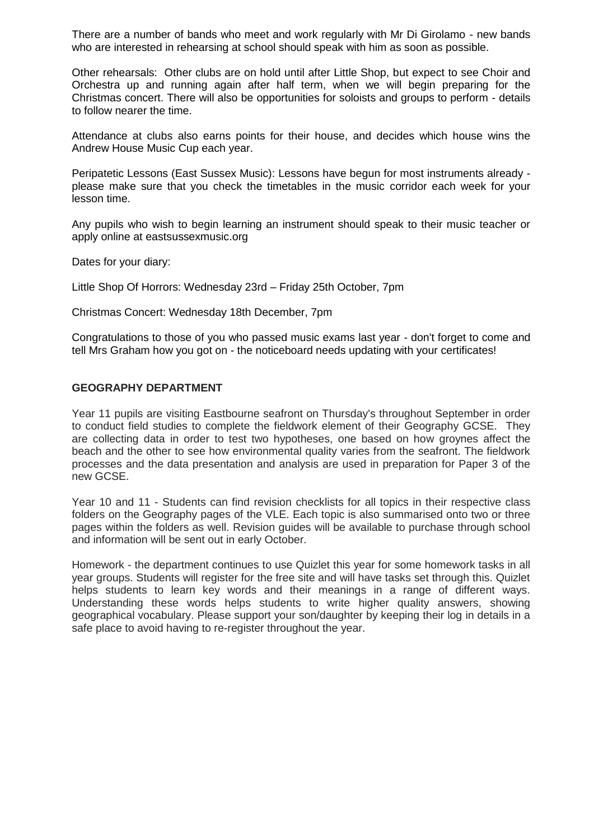There are a number of bands who meet and work regularly with Mr Di Girolamo - new bands who are interested in rehearsing at school should speak with him as soon as possible.

Other rehearsals: Other clubs are on hold until after Little Shop, but expect to see Choir and Orchestra up and running again after half term, when we will begin preparing for the Christmas concert. There will also be opportunities for soloists and groups to perform - details to follow nearer the time.

Attendance at clubs also earns points for their house, and decides which house wins the Andrew House Music Cup each year.

Peripatetic Lessons (East Sussex Music): Lessons have begun for most instruments already please make sure that you check the timetables in the music corridor each week for your lesson time.

Any pupils who wish to begin learning an instrument should speak to their music teacher or apply online at eastsussexmusic.org

Dates for your diary:

Little Shop Of Horrors: Wednesday 23rd – Friday 25th October, 7pm

Christmas Concert: Wednesday 18th December, 7pm

Congratulations to those of you who passed music exams last year - don't forget to come and tell Mrs Graham how you got on - the noticeboard needs updating with your certificates!

#### **GEOGRAPHY DEPARTMENT**

Year 11 pupils are visiting Eastbourne seafront on Thursday's throughout September in order to conduct field studies to complete the fieldwork element of their Geography GCSE. They are collecting data in order to test two hypotheses, one based on how groynes affect the beach and the other to see how environmental quality varies from the seafront. The fieldwork processes and the data presentation and analysis are used in preparation for Paper 3 of the new GCSE.

Year 10 and 11 - Students can find revision checklists for all topics in their respective class folders on the Geography pages of the VLE. Each topic is also summarised onto two or three pages within the folders as well. Revision guides will be available to purchase through school and information will be sent out in early October.

Homework - the department continues to use Quizlet this year for some homework tasks in all year groups. Students will register for the free site and will have tasks set through this. Quizlet helps students to learn key words and their meanings in a range of different ways. Understanding these words helps students to write higher quality answers, showing geographical vocabulary. Please support your son/daughter by keeping their log in details in a safe place to avoid having to re-register throughout the year.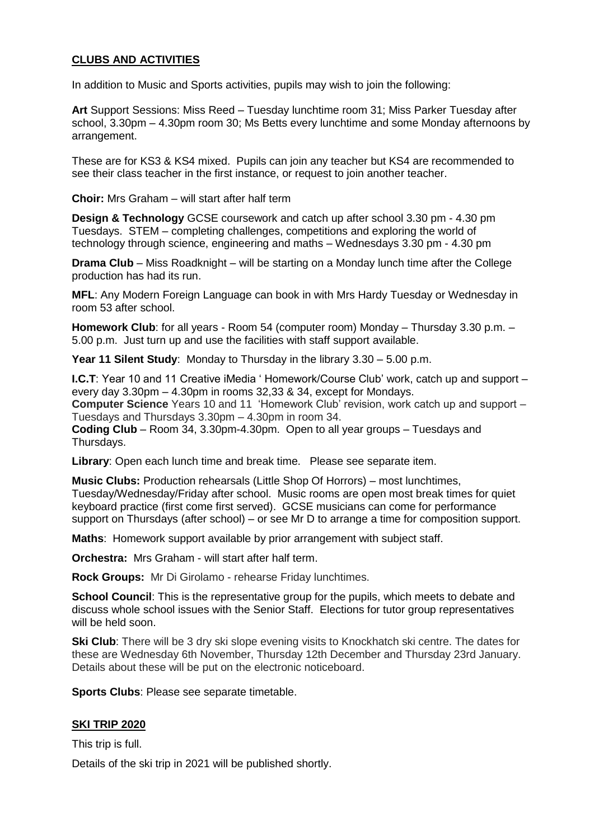#### **CLUBS AND ACTIVITIES**

In addition to Music and Sports activities, pupils may wish to join the following:

**Art** Support Sessions: Miss Reed – Tuesday lunchtime room 31; Miss Parker Tuesday after school, 3.30pm – 4.30pm room 30; Ms Betts every lunchtime and some Monday afternoons by arrangement.

These are for KS3 & KS4 mixed. Pupils can join any teacher but KS4 are recommended to see their class teacher in the first instance, or request to join another teacher.

**Choir:** Mrs Graham – will start after half term

**Design & Technology** GCSE coursework and catch up after school 3.30 pm - 4.30 pm Tuesdays. STEM – completing challenges, competitions and exploring the world of technology through science, engineering and maths – Wednesdays 3.30 pm - 4.30 pm

**Drama Club** – Miss Roadknight – will be starting on a Monday lunch time after the College production has had its run.

**MFL**: Any Modern Foreign Language can book in with Mrs Hardy Tuesday or Wednesday in room 53 after school.

**Homework Club**: for all years - Room 54 (computer room) Monday – Thursday 3.30 p.m. – 5.00 p.m. Just turn up and use the facilities with staff support available.

**Year 11 Silent Study**: Monday to Thursday in the library 3.30 – 5.00 p.m.

**I.C.T**: Year 10 and 11 Creative iMedia 'Homework/Course Club' work, catch up and support – every day 3.30pm – 4.30pm in rooms 32,33 & 34, except for Mondays. **Computer Science** Years 10 and 11 "Homework Club" revision, work catch up and support –

Tuesdays and Thursdays 3.30pm – 4.30pm in room 34.

**Coding Club** – Room 34, 3.30pm-4.30pm. Open to all year groups – Tuesdays and Thursdays.

**Library**: Open each lunch time and break time. Please see separate item.

**Music Clubs:** Production rehearsals (Little Shop Of Horrors) – most lunchtimes, Tuesday/Wednesday/Friday after school. Music rooms are open most break times for quiet keyboard practice (first come first served). GCSE musicians can come for performance support on Thursdays (after school) – or see Mr D to arrange a time for composition support.

**Maths**: Homework support available by prior arrangement with subject staff.

**Orchestra:** Mrs Graham - will start after half term.

**Rock Groups:** Mr Di Girolamo - rehearse Friday lunchtimes.

**School Council**: This is the representative group for the pupils, which meets to debate and discuss whole school issues with the Senior Staff. Elections for tutor group representatives will be held soon.

**Ski Club**: There will be 3 dry ski slope evening visits to Knockhatch ski centre. The dates for these are Wednesday 6th November, Thursday 12th December and Thursday 23rd January. Details about these will be put on the electronic noticeboard.

**Sports Clubs**: Please see separate timetable.

#### **SKI TRIP 2020**

This trip is full.

Details of the ski trip in 2021 will be published shortly.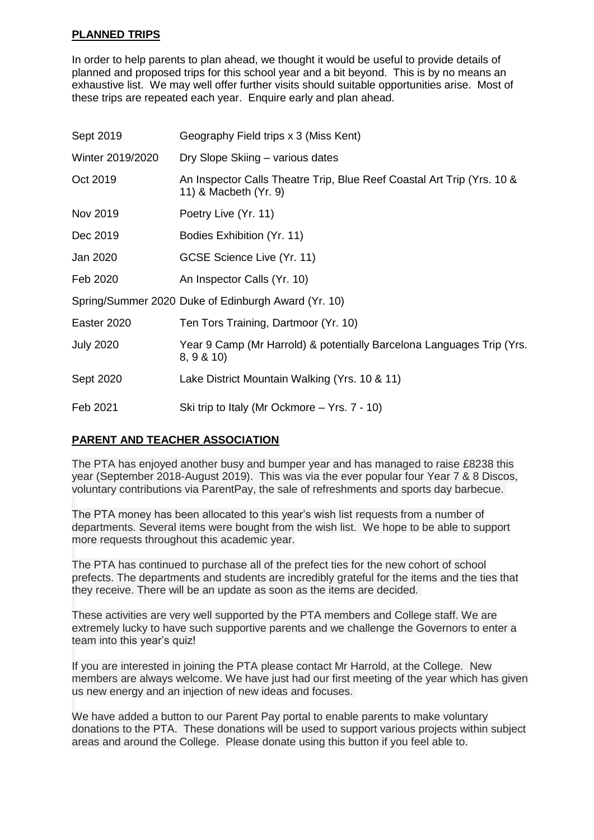#### **PLANNED TRIPS**

In order to help parents to plan ahead, we thought it would be useful to provide details of planned and proposed trips for this school year and a bit beyond. This is by no means an exhaustive list. We may well offer further visits should suitable opportunities arise. Most of these trips are repeated each year. Enquire early and plan ahead.

| Sept 2019        | Geography Field trips x 3 (Miss Kent)                                                           |
|------------------|-------------------------------------------------------------------------------------------------|
| Winter 2019/2020 | Dry Slope Skiing - various dates                                                                |
| Oct 2019         | An Inspector Calls Theatre Trip, Blue Reef Coastal Art Trip (Yrs. 10 &<br>11) & Macbeth (Yr. 9) |
| Nov 2019         | Poetry Live (Yr. 11)                                                                            |
| Dec 2019         | Bodies Exhibition (Yr. 11)                                                                      |
| Jan 2020         | GCSE Science Live (Yr. 11)                                                                      |
| Feb 2020         | An Inspector Calls (Yr. 10)                                                                     |
|                  | Spring/Summer 2020 Duke of Edinburgh Award (Yr. 10)                                             |
| Easter 2020      | Ten Tors Training, Dartmoor (Yr. 10)                                                            |
| <b>July 2020</b> | Year 9 Camp (Mr Harrold) & potentially Barcelona Languages Trip (Yrs.<br>8, 9 & 10              |
| Sept 2020        | Lake District Mountain Walking (Yrs. 10 & 11)                                                   |
| Feb 2021         | Ski trip to Italy (Mr Ockmore – Yrs. 7 - 10)                                                    |

#### **PARENT AND TEACHER ASSOCIATION**

The PTA has enjoyed another busy and bumper year and has managed to raise £8238 this year (September 2018-August 2019). This was via the ever popular four Year 7 & 8 Discos, voluntary contributions via ParentPay, the sale of refreshments and sports day barbecue.

The PTA money has been allocated to this year's wish list requests from a number of departments. Several items were bought from the wish list. We hope to be able to support more requests throughout this academic year.

The PTA has continued to purchase all of the prefect ties for the new cohort of school prefects. The departments and students are incredibly grateful for the items and the ties that they receive. There will be an update as soon as the items are decided.

These activities are very well supported by the PTA members and College staff. We are extremely lucky to have such supportive parents and we challenge the Governors to enter a team into this year's quiz!

If you are interested in joining the PTA please contact Mr Harrold, at the College. New members are always welcome. We have just had our first meeting of the year which has given us new energy and an injection of new ideas and focuses.

We have added a button to our Parent Pay portal to enable parents to make voluntary donations to the PTA. These donations will be used to support various projects within subject areas and around the College. Please donate using this button if you feel able to.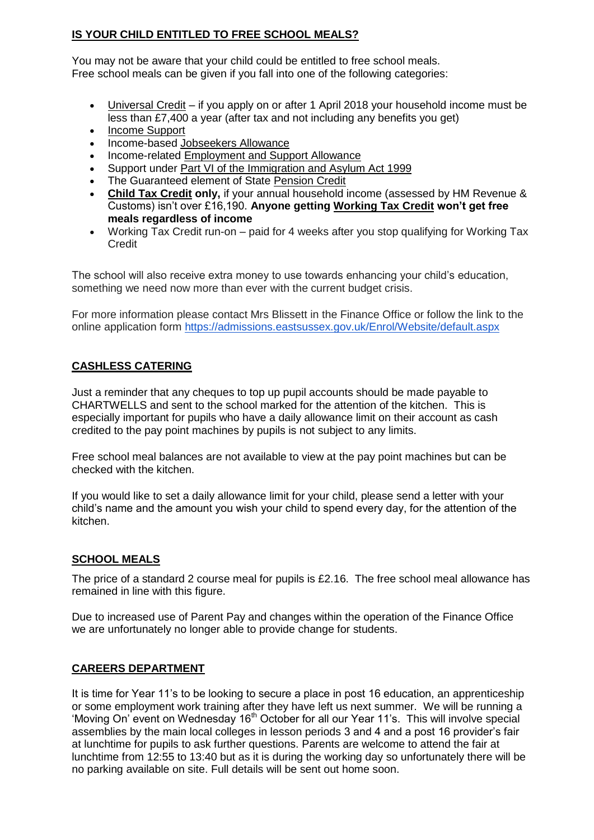#### **IS YOUR CHILD ENTITLED TO FREE SCHOOL MEALS?**

You may not be aware that your child could be entitled to free school meals. Free school meals can be given if you fall into one of the following categories:

- [Universal Credit](https://www.gov.uk/universal-credit) if you apply on or after 1 April 2018 your household income must be less than £7,400 a year (after tax and not including any benefits you get)
- [Income Support](https://www.gov.uk/income-support)
- Income-based [Jobseekers Allowance](https://www.gov.uk/jobseekers-allowance)
- Income-related [Employment and Support Allowance](https://www.gov.uk/employment-support-allowance)
- Support under [Part VI of the Immigration and Asylum Act 1999](http://www.legislation.gov.uk/ukpga/1999/33/part/VI)
- The Guaranteed element of State [Pension Credit](https://www.gov.uk/pension-credit)
- **[Child Tax Credit](https://www.gov.uk/child-tax-credit) only,** if your annual household income (assessed by HM Revenue & Customs) isn"t over £16,190. **Anyone getting [Working Tax Credit](https://www.gov.uk/working-tax-credit) won't get free meals regardless of income**
- Working Tax Credit run-on paid for 4 weeks after you stop qualifying for Working Tax **Credit**

The school will also receive extra money to use towards enhancing your child"s education, something we need now more than ever with the current budget crisis.

For more information please contact Mrs Blissett in the Finance Office or follow the link to the online application form<https://admissions.eastsussex.gov.uk/Enrol/Website/default.aspx>

#### **CASHLESS CATERING**

Just a reminder that any cheques to top up pupil accounts should be made payable to CHARTWELLS and sent to the school marked for the attention of the kitchen. This is especially important for pupils who have a daily allowance limit on their account as cash credited to the pay point machines by pupils is not subject to any limits.

Free school meal balances are not available to view at the pay point machines but can be checked with the kitchen.

If you would like to set a daily allowance limit for your child, please send a letter with your child"s name and the amount you wish your child to spend every day, for the attention of the kitchen.

#### **SCHOOL MEALS**

The price of a standard 2 course meal for pupils is £2.16. The free school meal allowance has remained in line with this figure.

Due to increased use of Parent Pay and changes within the operation of the Finance Office we are unfortunately no longer able to provide change for students.

#### **CAREERS DEPARTMENT**

It is time for Year 11"s to be looking to secure a place in post 16 education, an apprenticeship or some employment work training after they have left us next summer. We will be running a 'Moving On' event on Wednesday 16<sup>th</sup> October for all our Year 11's. This will involve special assemblies by the main local colleges in lesson periods 3 and 4 and a post 16 provider"s fair at lunchtime for pupils to ask further questions. Parents are welcome to attend the fair at lunchtime from 12:55 to 13:40 but as it is during the working day so unfortunately there will be no parking available on site. Full details will be sent out home soon.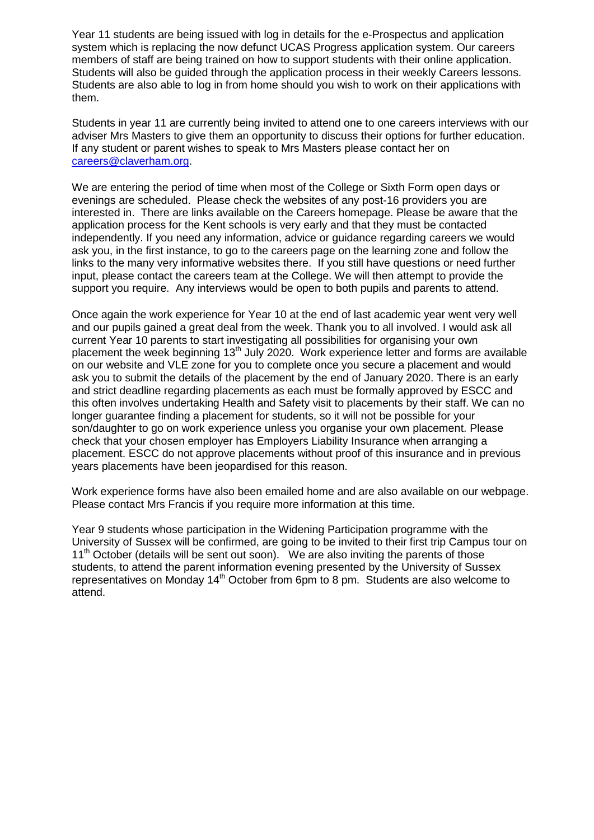Year 11 students are being issued with log in details for the e-Prospectus and application system which is replacing the now defunct UCAS Progress application system. Our careers members of staff are being trained on how to support students with their online application. Students will also be guided through the application process in their weekly Careers lessons. Students are also able to log in from home should you wish to work on their applications with them.

Students in year 11 are currently being invited to attend one to one careers interviews with our adviser Mrs Masters to give them an opportunity to discuss their options for further education. If any student or parent wishes to speak to Mrs Masters please contact her on [careers@claverham.org.](mailto:careers@claverham.org)

We are entering the period of time when most of the College or Sixth Form open days or evenings are scheduled. Please check the websites of any post-16 providers you are interested in. There are links available on the Careers homepage. Please be aware that the application process for the Kent schools is very early and that they must be contacted independently. If you need any information, advice or guidance regarding careers we would ask you, in the first instance, to go to the careers page on the learning zone and follow the links to the many very informative websites there. If you still have questions or need further input, please contact the careers team at the College. We will then attempt to provide the support you require. Any interviews would be open to both pupils and parents to attend.

Once again the work experience for Year 10 at the end of last academic year went very well and our pupils gained a great deal from the week. Thank you to all involved. I would ask all current Year 10 parents to start investigating all possibilities for organising your own placement the week beginning  $13<sup>th</sup>$  July 2020. Work experience letter and forms are available on our website and VLE zone for you to complete once you secure a placement and would ask you to submit the details of the placement by the end of January 2020. There is an early and strict deadline regarding placements as each must be formally approved by ESCC and this often involves undertaking Health and Safety visit to placements by their staff. We can no longer guarantee finding a placement for students, so it will not be possible for your son/daughter to go on work experience unless you organise your own placement. Please check that your chosen employer has Employers Liability Insurance when arranging a placement. ESCC do not approve placements without proof of this insurance and in previous years placements have been jeopardised for this reason.

Work experience forms have also been emailed home and are also available on our webpage. Please contact Mrs Francis if you require more information at this time.

Year 9 students whose participation in the Widening Participation programme with the University of Sussex will be confirmed, are going to be invited to their first trip Campus tour on  $11<sup>th</sup>$  October (details will be sent out soon). We are also inviting the parents of those students, to attend the parent information evening presented by the University of Sussex representatives on Monday  $14<sup>th</sup>$  October from 6pm to 8 pm. Students are also welcome to attend.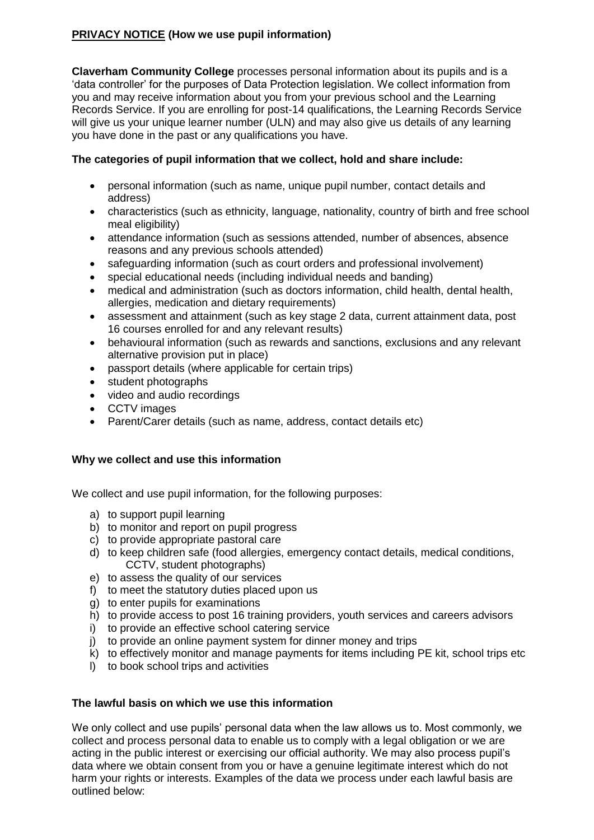#### **PRIVACY NOTICE (How we use pupil information)**

**Claverham Community College** processes personal information about its pupils and is a "data controller" for the purposes of Data Protection legislation. We collect information from you and may receive information about you from your previous school and the Learning Records Service. If you are enrolling for post-14 qualifications, the Learning Records Service will give us your unique learner number (ULN) and may also give us details of any learning you have done in the past or any qualifications you have.

#### **The categories of pupil information that we collect, hold and share include:**

- personal information (such as name, unique pupil number, contact details and address)
- characteristics (such as ethnicity, language, nationality, country of birth and free school meal eligibility)
- attendance information (such as sessions attended, number of absences, absence reasons and any previous schools attended)
- safeguarding information (such as court orders and professional involvement)
- special educational needs (including individual needs and banding)
- medical and administration (such as doctors information, child health, dental health, allergies, medication and dietary requirements)
- assessment and attainment (such as key stage 2 data, current attainment data, post 16 courses enrolled for and any relevant results)
- behavioural information (such as rewards and sanctions, exclusions and any relevant alternative provision put in place)
- passport details (where applicable for certain trips)
- student photographs
- video and audio recordings
- CCTV images
- Parent/Carer details (such as name, address, contact details etc)

#### **Why we collect and use this information**

We collect and use pupil information, for the following purposes:

- a) to support pupil learning
- b) to monitor and report on pupil progress
- c) to provide appropriate pastoral care
- d) to keep children safe (food allergies, emergency contact details, medical conditions, CCTV, student photographs)
- e) to assess the quality of our services
- f) to meet the statutory duties placed upon us
- g) to enter pupils for examinations
- h) to provide access to post 16 training providers, youth services and careers advisors
- i) to provide an effective school catering service
- j) to provide an online payment system for dinner money and trips
- k) to effectively monitor and manage payments for items including PE kit, school trips etc
- l) to book school trips and activities

#### **The lawful basis on which we use this information**

We only collect and use pupils' personal data when the law allows us to. Most commonly, we collect and process personal data to enable us to comply with a legal obligation or we are acting in the public interest or exercising our official authority. We may also process pupil"s data where we obtain consent from you or have a genuine legitimate interest which do not harm your rights or interests. Examples of the data we process under each lawful basis are outlined below: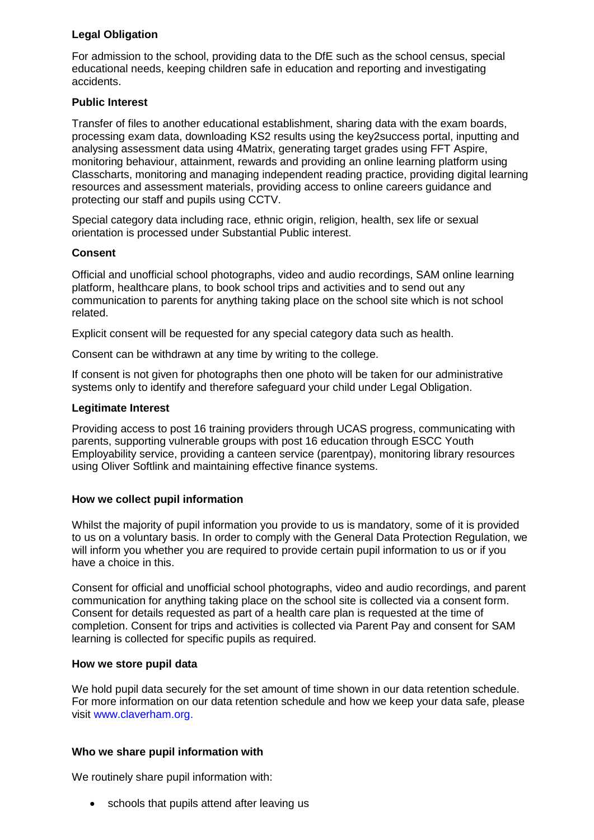#### **Legal Obligation**

For admission to the school, providing data to the DfE such as the school census, special educational needs, keeping children safe in education and reporting and investigating accidents.

#### **Public Interest**

Transfer of files to another educational establishment, sharing data with the exam boards, processing exam data, downloading KS2 results using the key2success portal, inputting and analysing assessment data using 4Matrix, generating target grades using FFT Aspire, monitoring behaviour, attainment, rewards and providing an online learning platform using Classcharts, monitoring and managing independent reading practice, providing digital learning resources and assessment materials, providing access to online careers guidance and protecting our staff and pupils using CCTV.

Special category data including race, ethnic origin, religion, health, sex life or sexual orientation is processed under Substantial Public interest.

#### **Consent**

Official and unofficial school photographs, video and audio recordings, SAM online learning platform, healthcare plans, to book school trips and activities and to send out any communication to parents for anything taking place on the school site which is not school related.

Explicit consent will be requested for any special category data such as health.

Consent can be withdrawn at any time by writing to the college.

If consent is not given for photographs then one photo will be taken for our administrative systems only to identify and therefore safeguard your child under Legal Obligation.

#### **Legitimate Interest**

Providing access to post 16 training providers through UCAS progress, communicating with parents, supporting vulnerable groups with post 16 education through ESCC Youth Employability service, providing a canteen service (parentpay), monitoring library resources using Oliver Softlink and maintaining effective finance systems.

#### **How we collect pupil information**

Whilst the majority of pupil information you provide to us is mandatory, some of it is provided to us on a voluntary basis. In order to comply with the General Data Protection Regulation, we will inform you whether you are required to provide certain pupil information to us or if you have a choice in this.

Consent for official and unofficial school photographs, video and audio recordings, and parent communication for anything taking place on the school site is collected via a consent form. Consent for details requested as part of a health care plan is requested at the time of completion. Consent for trips and activities is collected via Parent Pay and consent for SAM learning is collected for specific pupils as required.

#### **How we store pupil data**

We hold pupil data securely for the set amount of time shown in our data retention schedule. For more information on our data retention schedule and how we keep your data safe, please visit www.claverham.org.

#### **Who we share pupil information with**

We routinely share pupil information with:

• schools that pupils attend after leaving us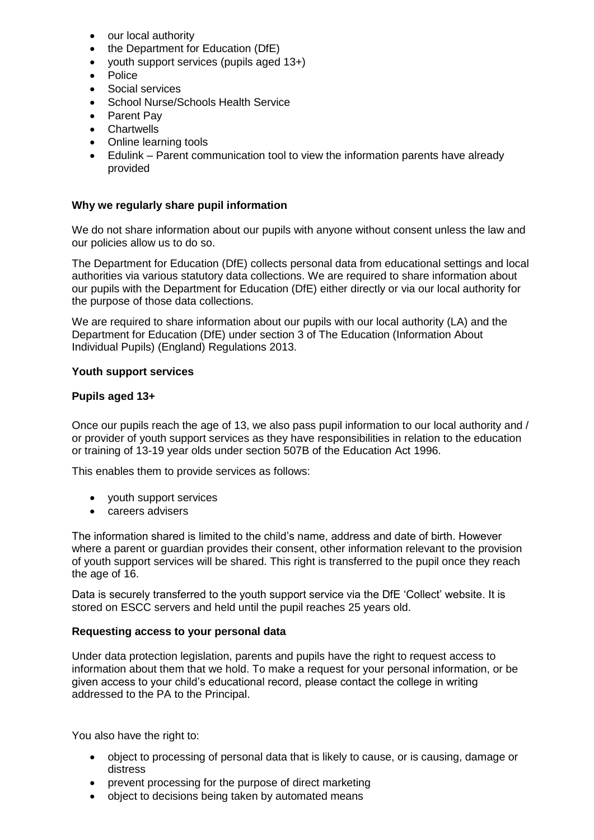- our local authority
- the Department for Education (DfE)
- youth support services (pupils aged 13+)
- Police
- Social services
- School Nurse/Schools Health Service
- Parent Pay
- Chartwells
- Online learning tools
- Edulink Parent communication tool to view the information parents have already provided

#### **Why we regularly share pupil information**

We do not share information about our pupils with anyone without consent unless the law and our policies allow us to do so.

The Department for Education (DfE) collects personal data from educational settings and local authorities via various statutory data collections. We are required to share information about our pupils with the Department for Education (DfE) either directly or via our local authority for the purpose of those data collections.

We are required to share information about our pupils with our local authority (LA) and the Department for Education (DfE) under section 3 of The Education (Information About Individual Pupils) (England) Regulations 2013.

#### **Youth support services**

#### **Pupils aged 13+**

Once our pupils reach the age of 13, we also pass pupil information to our local authority and / or provider of youth support services as they have responsibilities in relation to the education or training of 13-19 year olds under section 507B of the Education Act 1996.

This enables them to provide services as follows:

- youth support services
- **Careers advisers**

The information shared is limited to the child"s name, address and date of birth. However where a parent or guardian provides their consent, other information relevant to the provision of youth support services will be shared. This right is transferred to the pupil once they reach the age of 16.

Data is securely transferred to the youth support service via the DfE 'Collect' website. It is stored on ESCC servers and held until the pupil reaches 25 years old.

#### **Requesting access to your personal data**

Under data protection legislation, parents and pupils have the right to request access to information about them that we hold. To make a request for your personal information, or be given access to your child"s educational record, please contact the college in writing addressed to the PA to the Principal.

You also have the right to:

- object to processing of personal data that is likely to cause, or is causing, damage or distress
- prevent processing for the purpose of direct marketing
- object to decisions being taken by automated means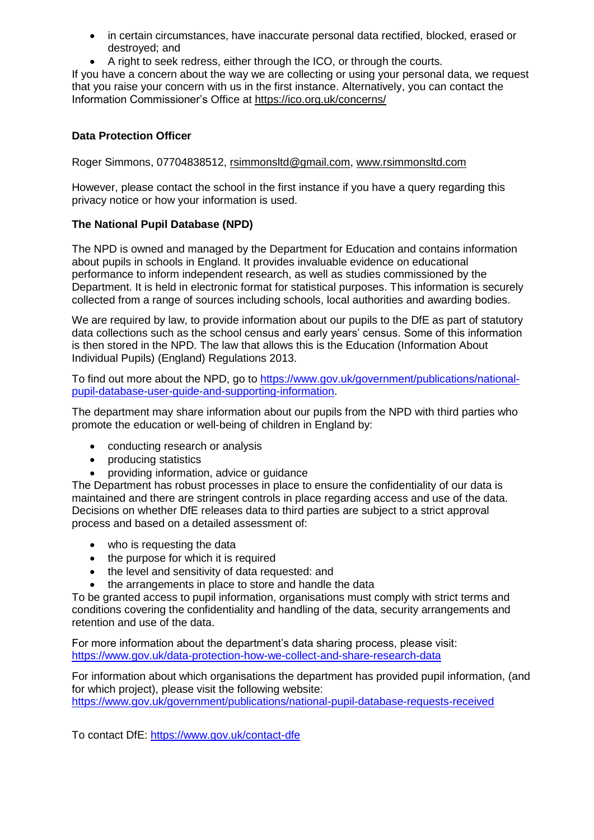- in certain circumstances, have inaccurate personal data rectified, blocked, erased or destroyed; and
- A right to seek redress, either through the ICO, or through the courts.

If you have a concern about the way we are collecting or using your personal data, we request that you raise your concern with us in the first instance. Alternatively, you can contact the Information Commissioner"s Office at<https://ico.org.uk/concerns/>

#### **Data Protection Officer**

Roger Simmons, 07704838512, [rsimmonsltd@gmail.com,](mailto:rsimmonsltd@gmail.com) [www.rsimmonsltd.com](http://www.rsimmonsltd.com/) 

However, please contact the school in the first instance if you have a query regarding this privacy notice or how your information is used.

#### **The National Pupil Database (NPD)**

The NPD is owned and managed by the Department for Education and contains information about pupils in schools in England. It provides invaluable evidence on educational performance to inform independent research, as well as studies commissioned by the Department. It is held in electronic format for statistical purposes. This information is securely collected from a range of sources including schools, local authorities and awarding bodies.

We are required by law, to provide information about our pupils to the DfE as part of statutory data collections such as the school census and early years" census. Some of this information is then stored in the NPD. The law that allows this is the Education (Information About Individual Pupils) (England) Regulations 2013.

To find out more about the NPD, go to [https://www.gov.uk/government/publications/national](https://www.gov.uk/government/publications/national-pupil-database-user-guide-and-supporting-information)[pupil-database-user-guide-and-supporting-information.](https://www.gov.uk/government/publications/national-pupil-database-user-guide-and-supporting-information)

The department may share information about our pupils from the NPD with third parties who promote the education or well-being of children in England by:

- conducting research or analysis
- producing statistics
- providing information, advice or guidance

The Department has robust processes in place to ensure the confidentiality of our data is maintained and there are stringent controls in place regarding access and use of the data. Decisions on whether DfE releases data to third parties are subject to a strict approval process and based on a detailed assessment of:

- who is requesting the data
- the purpose for which it is required
- the level and sensitivity of data requested: and
- the arrangements in place to store and handle the data

To be granted access to pupil information, organisations must comply with strict terms and conditions covering the confidentiality and handling of the data, security arrangements and retention and use of the data.

For more information about the department"s data sharing process, please visit: <https://www.gov.uk/data-protection-how-we-collect-and-share-research-data>

For information about which organisations the department has provided pupil information, (and for which project), please visit the following website: <https://www.gov.uk/government/publications/national-pupil-database-requests-received>

To contact DfE:<https://www.gov.uk/contact-dfe>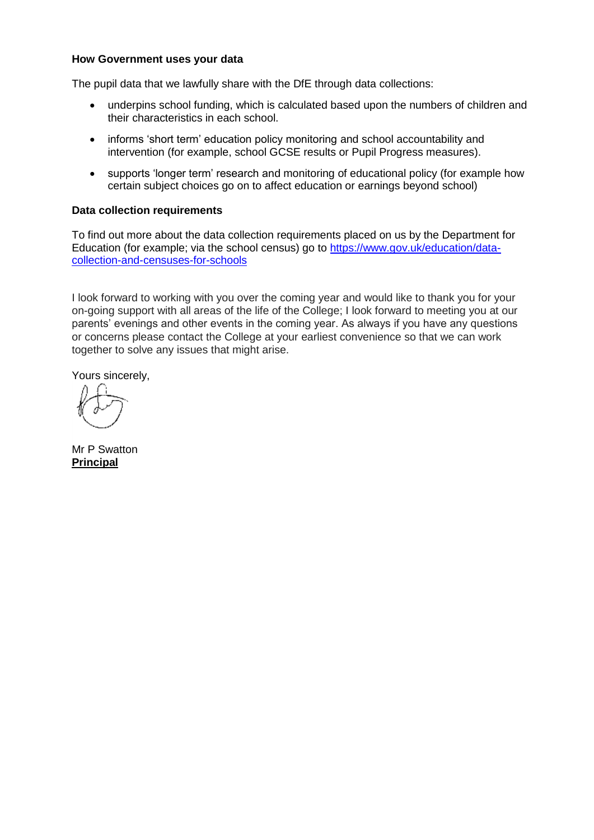#### **How Government uses your data**

The pupil data that we lawfully share with the DfE through data collections:

- underpins school funding, which is calculated based upon the numbers of children and their characteristics in each school.
- informs 'short term' education policy monitoring and school accountability and intervention (for example, school GCSE results or Pupil Progress measures).
- supports "longer term" research and monitoring of educational policy (for example how certain subject choices go on to affect education or earnings beyond school)

#### **Data collection requirements**

To find out more about the data collection requirements placed on us by the Department for Education (for example; via the school census) go to [https://www.gov.uk/education/data](https://www.gov.uk/education/data-collection-and-censuses-for-schools)[collection-and-censuses-for-schools](https://www.gov.uk/education/data-collection-and-censuses-for-schools)

I look forward to working with you over the coming year and would like to thank you for your on-going support with all areas of the life of the College; I look forward to meeting you at our parents" evenings and other events in the coming year. As always if you have any questions or concerns please contact the College at your earliest convenience so that we can work together to solve any issues that might arise.

Yours sincerely,

Mr P Swatton **Principal**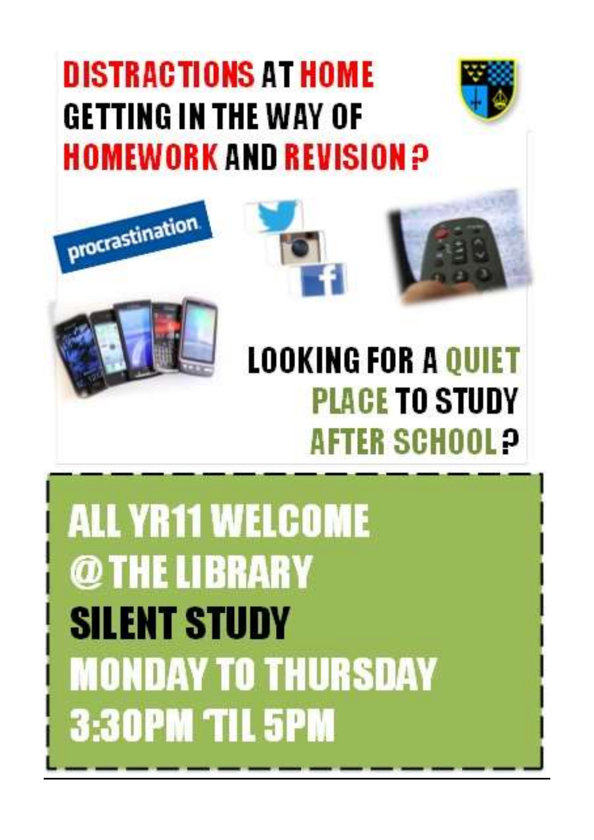## **DISTRACTIONS AT HOME** GETTING IN THE WAY OF **HOMEWORK AND REVISION P**







**ALL YR11 WELCOME** @THE LIBRARY **SILENT STUDY MONDAY TO THURSDAY 3:30PM TIL 5PM**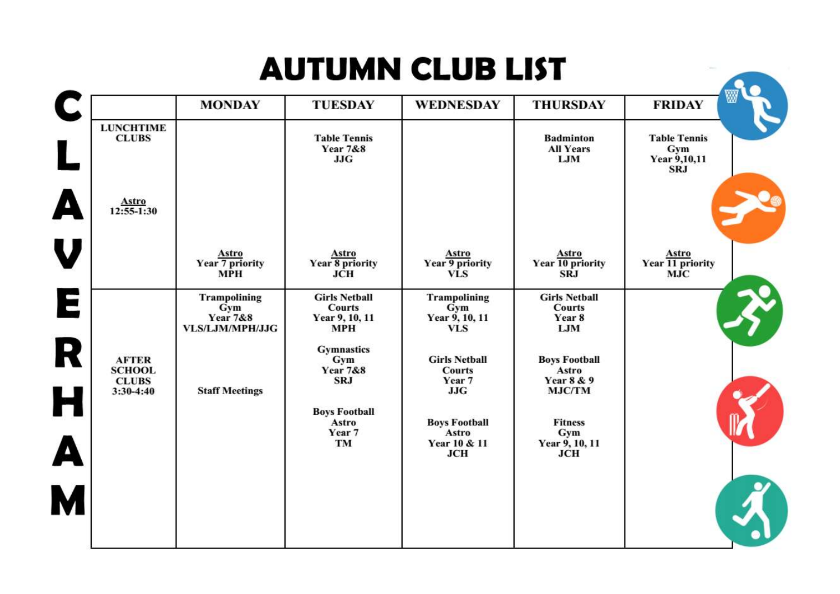### **AUTUMN CLUB LIST**

|                                                              |                                                                      |                                                                       |                                                               |                                                                         | ₩                                                        |
|--------------------------------------------------------------|----------------------------------------------------------------------|-----------------------------------------------------------------------|---------------------------------------------------------------|-------------------------------------------------------------------------|----------------------------------------------------------|
|                                                              | <b>MONDAY</b>                                                        | <b>TUESDAY</b>                                                        | <b>WEDNESDAY</b>                                              | <b>THURSDAY</b>                                                         | <b>FRIDAY</b>                                            |
| <b>LUNCHTIME</b><br><b>CLUBS</b>                             |                                                                      | <b>Table Tennis</b><br><b>Year 7&amp;8</b><br><b>JJG</b>              |                                                               | <b>Badminton</b><br><b>All Years</b><br>LJM                             | <b>Table Tennis</b><br>Gym<br>Year 9,10,11<br><b>SRJ</b> |
| <b>Astro</b><br>$12:55-1:30$                                 |                                                                      |                                                                       |                                                               |                                                                         |                                                          |
|                                                              | Astro<br>Year 7 priority<br><b>MPH</b>                               | Astro<br>Year 8 priority<br><b>JCH</b>                                | Astro<br>Year 9 priority<br><b>VLS</b>                        | <b>Astro</b><br>Year 10 priority<br><b>SRJ</b>                          | Astro<br>Year 11 priority<br><b>MJC</b>                  |
|                                                              | <b>Trampolining</b><br>Gym<br><b>Year 7&amp;8</b><br>VLS/LJM/MPH/JJG | <b>Girls Netball</b><br><b>Courts</b><br>Year 9, 10, 11<br><b>MPH</b> | <b>Trampolining</b><br>Gym<br>Year 9, 10, 11<br><b>VLS</b>    | <b>Girls Netball</b><br><b>Courts</b><br>Year 8<br>LJM                  |                                                          |
| <b>AFTER</b><br><b>SCHOOL</b><br><b>CLUBS</b><br>$3:30-4:40$ | <b>Staff Meetings</b>                                                | <b>Gymnastics</b><br>Gym<br><b>Year 7&amp;8</b><br><b>SRJ</b>         | <b>Girls Netball</b><br><b>Courts</b><br>Year 7<br><b>JJG</b> | <b>Boys Football</b><br>Astro<br><b>Year 8 &amp; 9</b><br><b>MJC/TM</b> |                                                          |
| Н                                                            |                                                                      | <b>Boys Football</b><br>Astro<br>Year 7<br>TM                         | <b>Boys Football</b><br>Astro<br>Year 10 & 11<br><b>JCH</b>   | <b>Fitness</b><br>Gym<br>Year 9, 10, 11<br><b>JCH</b>                   |                                                          |
| M                                                            |                                                                      |                                                                       |                                                               |                                                                         |                                                          |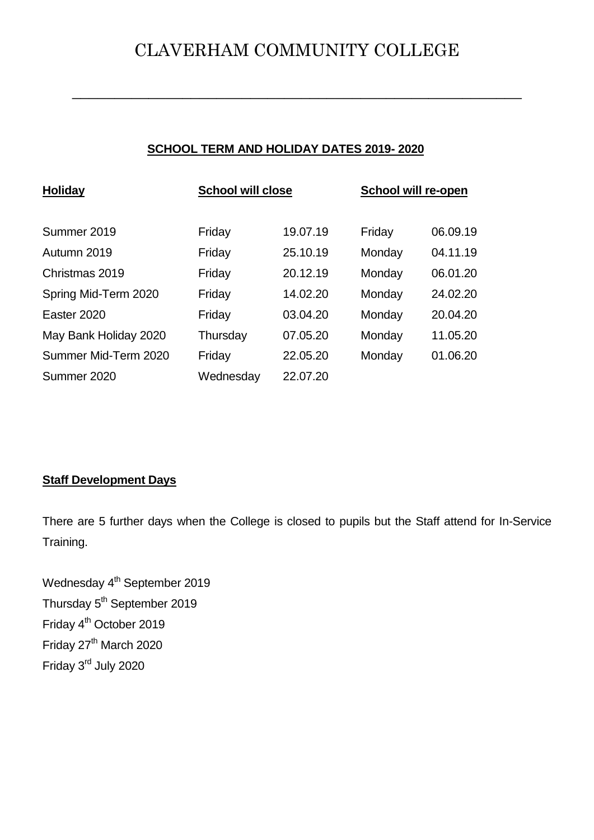### CLAVERHAM COMMUNITY COLLEGE

**\_\_\_\_\_\_\_\_\_\_\_\_\_\_\_\_\_\_\_\_\_\_\_\_\_\_\_\_\_\_\_\_\_\_\_\_\_\_\_\_\_\_\_\_\_\_\_\_\_\_\_\_\_**

#### **SCHOOL TERM AND HOLIDAY DATES 2019- 2020**

| <b>Holiday</b>        | <b>School will close</b> |          | School will re-open |          |
|-----------------------|--------------------------|----------|---------------------|----------|
|                       |                          |          |                     |          |
| Summer 2019           | Friday                   | 19.07.19 | Friday              | 06.09.19 |
| Autumn 2019           | Friday                   | 25.10.19 | Monday              | 04.11.19 |
| Christmas 2019        | Friday                   | 20.12.19 | Monday              | 06.01.20 |
| Spring Mid-Term 2020  | Friday                   | 14.02.20 | Monday              | 24.02.20 |
| Easter 2020           | Friday                   | 03.04.20 | Monday              | 20.04.20 |
| May Bank Holiday 2020 | Thursday                 | 07.05.20 | Monday              | 11.05.20 |
| Summer Mid-Term 2020  | Friday                   | 22.05.20 | Monday              | 01.06.20 |
| Summer 2020           | Wednesday                | 22.07.20 |                     |          |

#### **Staff Development Days**

There are 5 further days when the College is closed to pupils but the Staff attend for In-Service Training.

Wednesday 4<sup>th</sup> September 2019 Thursday 5<sup>th</sup> September 2019 Friday 4<sup>th</sup> October 2019 Friday 27<sup>th</sup> March 2020 Friday 3rd July 2020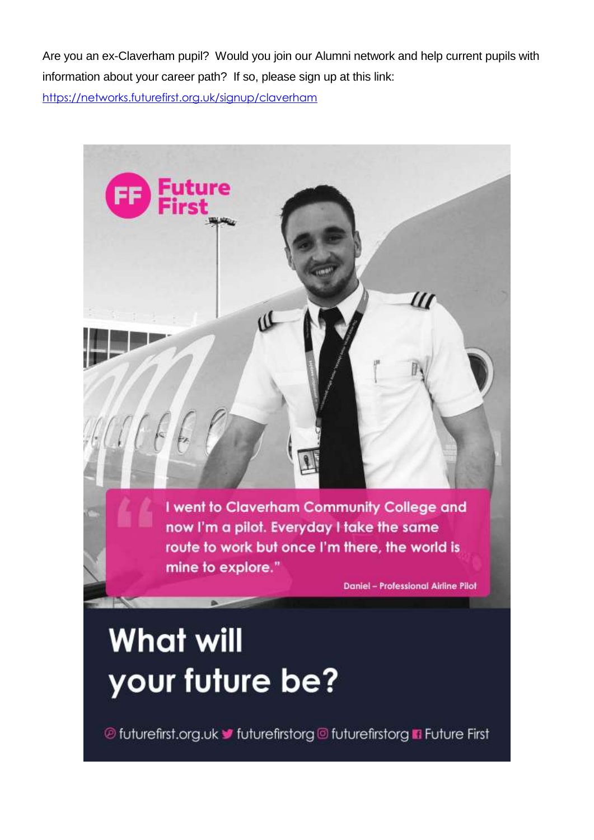Are you an ex-Claverham pupil? Would you join our Alumni network and help current pupils with information about your career path? If so, please sign up at this link:

<https://networks.futurefirst.org.uk/signup/claverham>